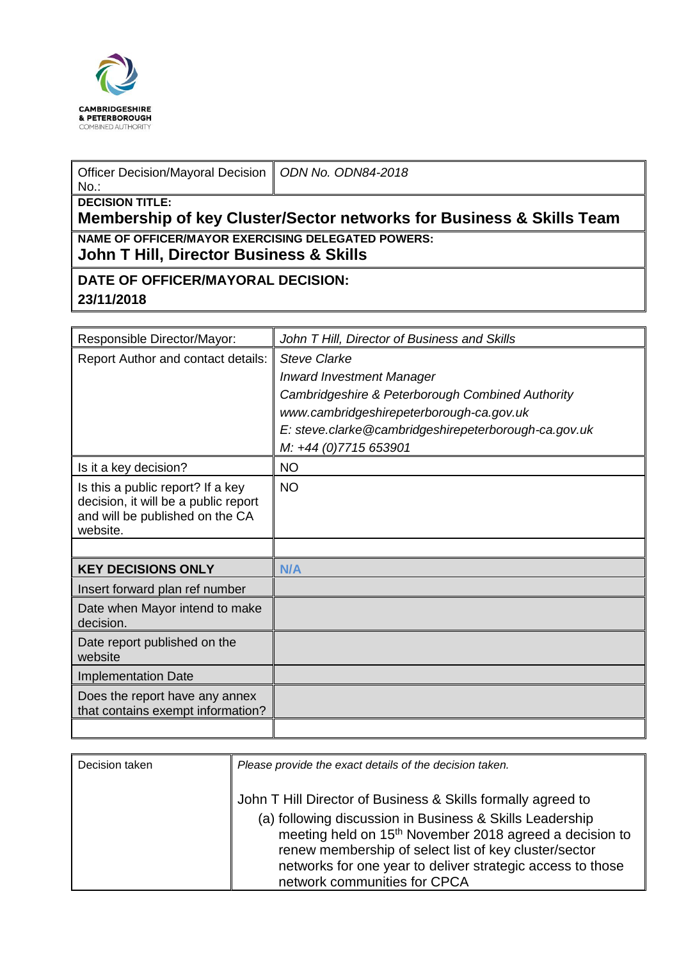

| Officer Decision/Mayoral Decision   ODN No. ODN84-2018 |  |  |
|--------------------------------------------------------|--|--|
|--------------------------------------------------------|--|--|

## No.: **DECISION TITLE:**

**Membership of key Cluster/Sector networks for Business & Skills Team NAME OF OFFICER/MAYOR EXERCISING DELEGATED POWERS:**

**John T Hill, Director Business & Skills** 

## **DATE OF OFFICER/MAYORAL DECISION: 23/11/2018**

| Responsible Director/Mayor:                                                                                              | John T Hill, Director of Business and Skills         |
|--------------------------------------------------------------------------------------------------------------------------|------------------------------------------------------|
| Report Author and contact details:                                                                                       | <b>Steve Clarke</b>                                  |
|                                                                                                                          | <b>Inward Investment Manager</b>                     |
|                                                                                                                          | Cambridgeshire & Peterborough Combined Authority     |
|                                                                                                                          | www.cambridgeshirepeterborough-ca.gov.uk             |
|                                                                                                                          | E: steve.clarke@cambridgeshirepeterborough-ca.gov.uk |
|                                                                                                                          | M: +44 (0)7715 653901                                |
| Is it a key decision?                                                                                                    | <b>NO</b>                                            |
| Is this a public report? If a key<br>decision, it will be a public report<br>and will be published on the CA<br>website. | <b>NO</b>                                            |
|                                                                                                                          |                                                      |
| <b>KEY DECISIONS ONLY</b>                                                                                                | N/A                                                  |
| Insert forward plan ref number                                                                                           |                                                      |
| Date when Mayor intend to make<br>decision.                                                                              |                                                      |
| Date report published on the<br>website                                                                                  |                                                      |
| <b>Implementation Date</b>                                                                                               |                                                      |
| Does the report have any annex<br>that contains exempt information?                                                      |                                                      |
|                                                                                                                          |                                                      |

| Decision taken | Please provide the exact details of the decision taken.                                                                                                                                                                                                                                                                                                |
|----------------|--------------------------------------------------------------------------------------------------------------------------------------------------------------------------------------------------------------------------------------------------------------------------------------------------------------------------------------------------------|
|                | John T Hill Director of Business & Skills formally agreed to<br>(a) following discussion in Business & Skills Leadership<br>meeting held on 15 <sup>th</sup> November 2018 agreed a decision to<br>renew membership of select list of key cluster/sector<br>networks for one year to deliver strategic access to those<br>network communities for CPCA |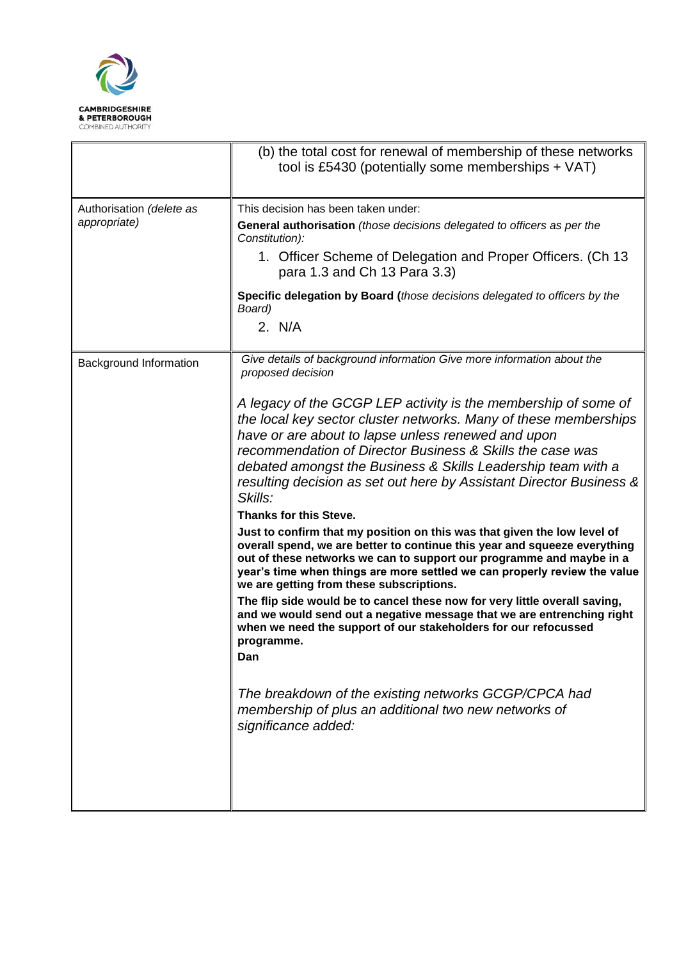

|                                          | (b) the total cost for renewal of membership of these networks<br>tool is £5430 (potentially some memberships $+$ VAT)                                                                                                                                                                                                                                                                                                                                                                                                                                                                                                                                                                                                                                                                                                                                                                                                                                                                                                                                                                                                                                                                                                                                                            |
|------------------------------------------|-----------------------------------------------------------------------------------------------------------------------------------------------------------------------------------------------------------------------------------------------------------------------------------------------------------------------------------------------------------------------------------------------------------------------------------------------------------------------------------------------------------------------------------------------------------------------------------------------------------------------------------------------------------------------------------------------------------------------------------------------------------------------------------------------------------------------------------------------------------------------------------------------------------------------------------------------------------------------------------------------------------------------------------------------------------------------------------------------------------------------------------------------------------------------------------------------------------------------------------------------------------------------------------|
| Authorisation (delete as<br>appropriate) | This decision has been taken under:<br>General authorisation (those decisions delegated to officers as per the<br>Constitution):<br>1. Officer Scheme of Delegation and Proper Officers. (Ch 13<br>para 1.3 and Ch 13 Para 3.3)<br>Specific delegation by Board (those decisions delegated to officers by the<br>Board)<br>2. N/A                                                                                                                                                                                                                                                                                                                                                                                                                                                                                                                                                                                                                                                                                                                                                                                                                                                                                                                                                 |
| Background Information                   | Give details of background information Give more information about the<br>proposed decision<br>A legacy of the GCGP LEP activity is the membership of some of<br>the local key sector cluster networks. Many of these memberships<br>have or are about to lapse unless renewed and upon<br>recommendation of Director Business & Skills the case was<br>debated amongst the Business & Skills Leadership team with a<br>resulting decision as set out here by Assistant Director Business &<br>Skills:<br>Thanks for this Steve.<br>Just to confirm that my position on this was that given the low level of<br>overall spend, we are better to continue this year and squeeze everything<br>out of these networks we can to support our programme and maybe in a<br>year's time when things are more settled we can properly review the value<br>we are getting from these subscriptions.<br>The flip side would be to cancel these now for very little overall saving,<br>and we would send out a negative message that we are entrenching right<br>when we need the support of our stakeholders for our refocussed<br>programme.<br>Dan<br>The breakdown of the existing networks GCGP/CPCA had<br>membership of plus an additional two new networks of<br>significance added: |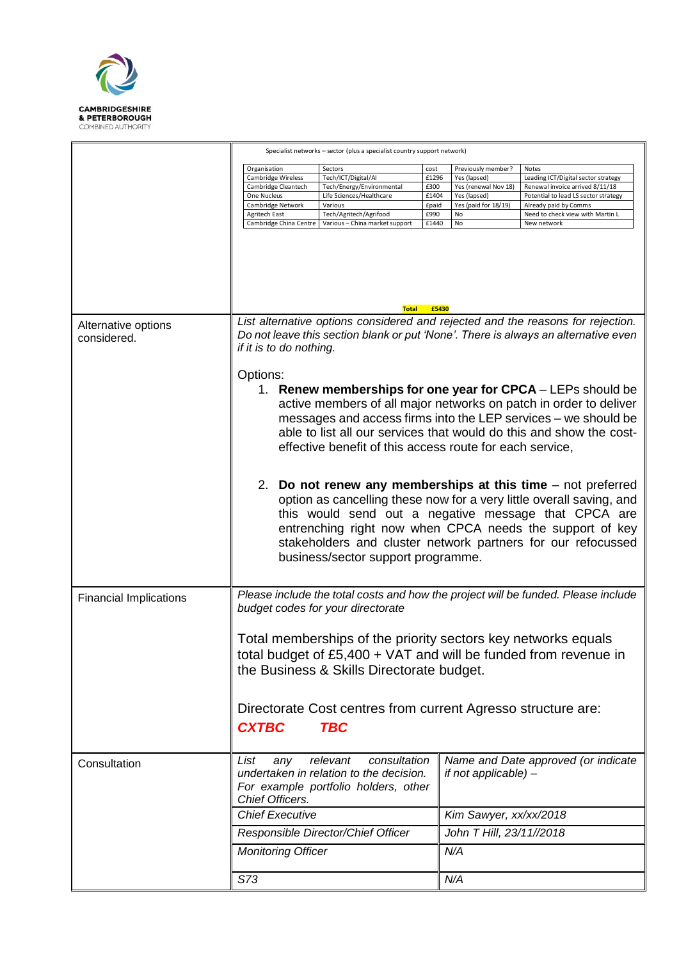

|                                    | Specialist networks - sector (plus a specialist country support network)                                                                                                                                                                                                                                                                                                                                                                                                                  |                                                                                                                                                                |                                                          |                                                                                                                |                                                                                                                                                                                                     |
|------------------------------------|-------------------------------------------------------------------------------------------------------------------------------------------------------------------------------------------------------------------------------------------------------------------------------------------------------------------------------------------------------------------------------------------------------------------------------------------------------------------------------------------|----------------------------------------------------------------------------------------------------------------------------------------------------------------|----------------------------------------------------------|----------------------------------------------------------------------------------------------------------------|-----------------------------------------------------------------------------------------------------------------------------------------------------------------------------------------------------|
|                                    | Organisation<br>Cambridge Wireless<br>Cambridge Cleantech<br>One Nucleus<br>Cambridge Network<br>Agritech East<br>Cambridge China Centre                                                                                                                                                                                                                                                                                                                                                  | Sectors<br>Tech/ICT/Digital/AI<br>Tech/Energy/Environmental<br>Life Sciences/Healthcare<br>Various<br>Tech/Agritech/Agrifood<br>Various - China market support | cost<br>£1296<br>£300<br>£1404<br>£paid<br>£990<br>£1440 | Previously member?<br>Yes (lapsed)<br>Yes (renewal Nov 18)<br>Yes (lapsed)<br>Yes (paid for 18/19)<br>No<br>No | Notes<br>Leading ICT/Digital sector strategy<br>Renewal invoice arrived 8/11/18<br>Potential to lead LS sector strategy<br>Already paid by Comms<br>Need to check view with Martin L<br>New network |
|                                    |                                                                                                                                                                                                                                                                                                                                                                                                                                                                                           | <b>Total</b>                                                                                                                                                   | £5430                                                    |                                                                                                                |                                                                                                                                                                                                     |
| Alternative options<br>considered. | List alternative options considered and rejected and the reasons for rejection.<br>Do not leave this section blank or put 'None'. There is always an alternative even<br>if it is to do nothing.<br>Options:<br>1. Renew memberships for one year for CPCA - LEPs should be<br>active members of all major networks on patch in order to deliver<br>messages and access firms into the LEP services - we should be<br>able to list all our services that would do this and show the cost- |                                                                                                                                                                |                                                          |                                                                                                                |                                                                                                                                                                                                     |
|                                    | effective benefit of this access route for each service,<br>2. Do not renew any memberships at this time – not preferred<br>option as cancelling these now for a very little overall saving, and<br>this would send out a negative message that CPCA are<br>entrenching right now when CPCA needs the support of key<br>stakeholders and cluster network partners for our refocussed<br>business/sector support programme.                                                                |                                                                                                                                                                |                                                          |                                                                                                                |                                                                                                                                                                                                     |
| <b>Financial Implications</b>      | Please include the total costs and how the project will be funded. Please include<br>budget codes for your directorate<br>Total memberships of the priority sectors key networks equals<br>total budget of £5,400 + VAT and will be funded from revenue in<br>the Business & Skills Directorate budget.<br>Directorate Cost centres from current Agresso structure are:<br><b>CXTBC</b><br><b>TBC</b>                                                                                     |                                                                                                                                                                |                                                          |                                                                                                                |                                                                                                                                                                                                     |
| Consultation                       | List<br>any<br>Chief Officers.<br><b>Chief Executive</b>                                                                                                                                                                                                                                                                                                                                                                                                                                  | consultation<br>relevant<br>undertaken in relation to the decision.<br>For example portfolio holders, other                                                    |                                                          | if not applicable) -<br>Kim Sawyer, xx/xx/2018                                                                 | Name and Date approved (or indicate                                                                                                                                                                 |
|                                    |                                                                                                                                                                                                                                                                                                                                                                                                                                                                                           | Responsible Director/Chief Officer                                                                                                                             |                                                          | John T Hill, 23/11//2018                                                                                       |                                                                                                                                                                                                     |
|                                    | <b>Monitoring Officer</b>                                                                                                                                                                                                                                                                                                                                                                                                                                                                 |                                                                                                                                                                |                                                          | N/A                                                                                                            |                                                                                                                                                                                                     |
|                                    | S73                                                                                                                                                                                                                                                                                                                                                                                                                                                                                       |                                                                                                                                                                |                                                          | N/A                                                                                                            |                                                                                                                                                                                                     |